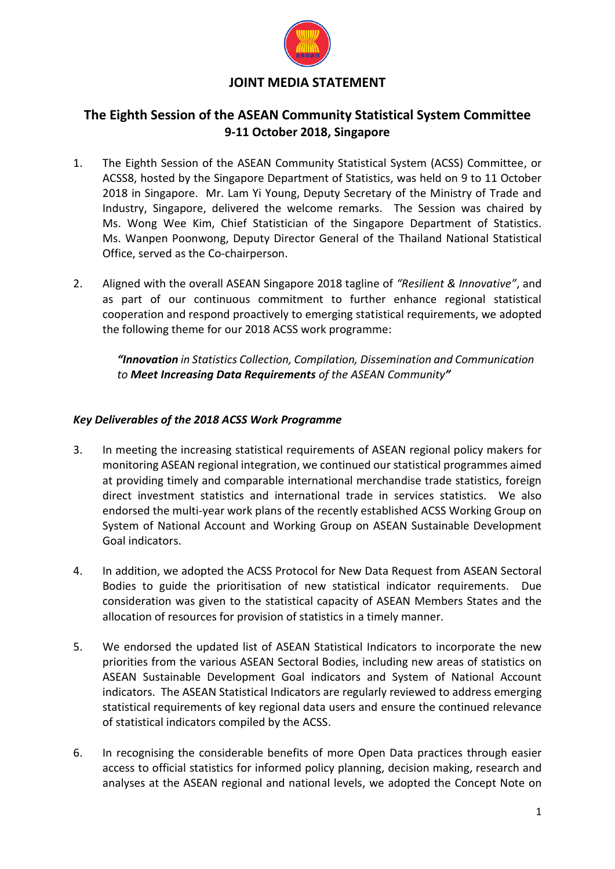

# **The Eighth Session of the ASEAN Community Statistical System Committee 9-11 October 2018, Singapore**

- 1. The Eighth Session of the ASEAN Community Statistical System (ACSS) Committee, or ACSS8, hosted by the Singapore Department of Statistics, was held on 9 to 11 October 2018 in Singapore. Mr. Lam Yi Young, Deputy Secretary of the Ministry of Trade and Industry, Singapore, delivered the welcome remarks. The Session was chaired by Ms. Wong Wee Kim, Chief Statistician of the Singapore Department of Statistics. Ms. Wanpen Poonwong, Deputy Director General of the Thailand National Statistical Office, served as the Co-chairperson.
- 2. Aligned with the overall ASEAN Singapore 2018 tagline of *"Resilient & Innovative"*, and as part of our continuous commitment to further enhance regional statistical cooperation and respond proactively to emerging statistical requirements, we adopted the following theme for our 2018 ACSS work programme:

*"Innovation in Statistics Collection, Compilation, Dissemination and Communication to Meet Increasing Data Requirements of the ASEAN Community"*

### *Key Deliverables of the 2018 ACSS Work Programme*

- 3. In meeting the increasing statistical requirements of ASEAN regional policy makers for monitoring ASEAN regional integration, we continued our statistical programmes aimed at providing timely and comparable international merchandise trade statistics, foreign direct investment statistics and international trade in services statistics. We also endorsed the multi-year work plans of the recently established ACSS Working Group on System of National Account and Working Group on ASEAN Sustainable Development Goal indicators.
- 4. In addition, we adopted the ACSS Protocol for New Data Request from ASEAN Sectoral Bodies to guide the prioritisation of new statistical indicator requirements. Due consideration was given to the statistical capacity of ASEAN Members States and the allocation of resources for provision of statistics in a timely manner.
- 5. We endorsed the updated list of ASEAN Statistical Indicators to incorporate the new priorities from the various ASEAN Sectoral Bodies, including new areas of statistics on ASEAN Sustainable Development Goal indicators and System of National Account indicators. The ASEAN Statistical Indicators are regularly reviewed to address emerging statistical requirements of key regional data users and ensure the continued relevance of statistical indicators compiled by the ACSS.
- 6. In recognising the considerable benefits of more Open Data practices through easier access to official statistics for informed policy planning, decision making, research and analyses at the ASEAN regional and national levels, we adopted the Concept Note on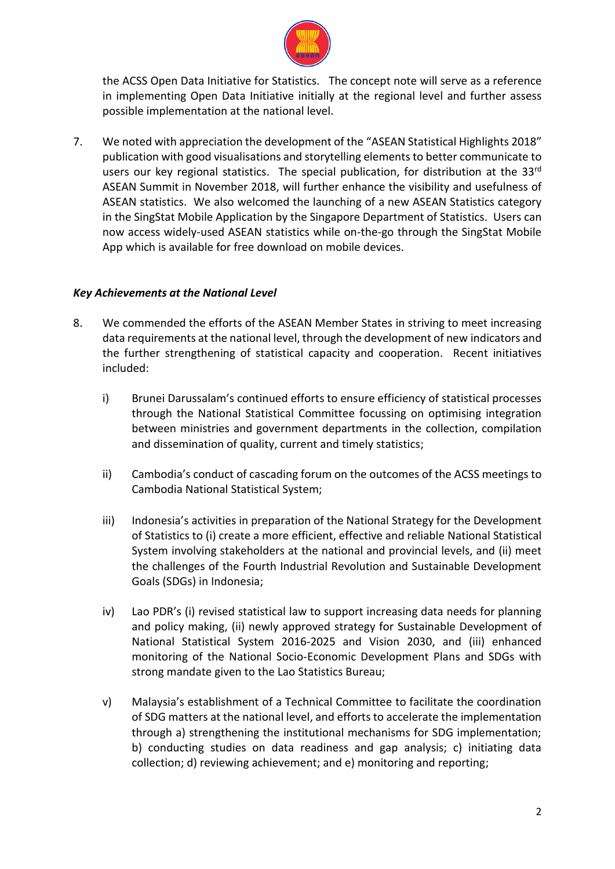

the ACSS Open Data Initiative for Statistics. The concept note will serve as a reference in implementing Open Data Initiative initially at the regional level and further assess possible implementation at the national level.

7. We noted with appreciation the development of the "ASEAN Statistical Highlights 2018" publication with good visualisations and storytelling elements to better communicate to users our key regional statistics. The special publication, for distribution at the 33<sup>rd</sup> ASEAN Summit in November 2018, will further enhance the visibility and usefulness of ASEAN statistics. We also welcomed the launching of a new ASEAN Statistics category in the SingStat Mobile Application by the Singapore Department of Statistics. Users can now access widely-used ASEAN statistics while on-the-go through the SingStat Mobile App which is available for free download on mobile devices.

#### *Key Achievements at the National Level*

- 8. We commended the efforts of the ASEAN Member States in striving to meet increasing data requirements at the national level, through the development of new indicators and the further strengthening of statistical capacity and cooperation. Recent initiatives included:
	- i) Brunei Darussalam's continued efforts to ensure efficiency of statistical processes through the National Statistical Committee focussing on optimising integration between ministries and government departments in the collection, compilation and dissemination of quality, current and timely statistics;
	- ii) Cambodia's conduct of cascading forum on the outcomes of the ACSS meetings to Cambodia National Statistical System;
	- iii) Indonesia's activities in preparation of the National Strategy for the Development of Statistics to (i) create a more efficient, effective and reliable National Statistical System involving stakeholders at the national and provincial levels, and (ii) meet the challenges of the Fourth Industrial Revolution and Sustainable Development Goals (SDGs) in Indonesia;
	- iv) Lao PDR's (i) revised statistical law to support increasing data needs for planning and policy making, (ii) newly approved strategy for Sustainable Development of National Statistical System 2016-2025 and Vision 2030, and (iii) enhanced monitoring of the National Socio-Economic Development Plans and SDGs with strong mandate given to the Lao Statistics Bureau;
	- v) Malaysia's establishment of a Technical Committee to facilitate the coordination of SDG matters at the national level, and efforts to accelerate the implementation through a) strengthening the institutional mechanisms for SDG implementation; b) conducting studies on data readiness and gap analysis; c) initiating data collection; d) reviewing achievement; and e) monitoring and reporting;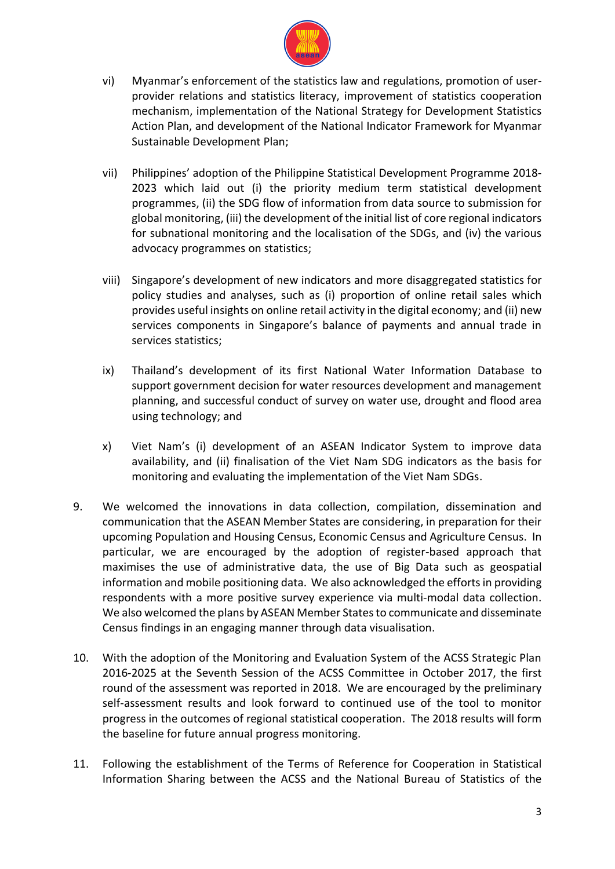

- vi) Myanmar's enforcement of the statistics law and regulations, promotion of userprovider relations and statistics literacy, improvement of statistics cooperation mechanism, implementation of the National Strategy for Development Statistics Action Plan, and development of the National Indicator Framework for Myanmar Sustainable Development Plan;
- vii) Philippines' adoption of the Philippine Statistical Development Programme 2018- 2023 which laid out (i) the priority medium term statistical development programmes, (ii) the SDG flow of information from data source to submission for global monitoring, (iii) the development of the initial list of core regional indicators for subnational monitoring and the localisation of the SDGs, and (iv) the various advocacy programmes on statistics;
- viii) Singapore's development of new indicators and more disaggregated statistics for policy studies and analyses, such as (i) proportion of online retail sales which provides useful insights on online retail activity in the digital economy; and (ii) new services components in Singapore's balance of payments and annual trade in services statistics;
- ix) Thailand's development of its first National Water Information Database to support government decision for water resources development and management planning, and successful conduct of survey on water use, drought and flood area using technology; and
- x) Viet Nam's (i) development of an ASEAN Indicator System to improve data availability, and (ii) finalisation of the Viet Nam SDG indicators as the basis for monitoring and evaluating the implementation of the Viet Nam SDGs.
- 9. We welcomed the innovations in data collection, compilation, dissemination and communication that the ASEAN Member States are considering, in preparation for their upcoming Population and Housing Census, Economic Census and Agriculture Census. In particular, we are encouraged by the adoption of register-based approach that maximises the use of administrative data, the use of Big Data such as geospatial information and mobile positioning data. We also acknowledged the efforts in providing respondents with a more positive survey experience via multi-modal data collection. We also welcomed the plans by ASEAN Member States to communicate and disseminate Census findings in an engaging manner through data visualisation.
- 10. With the adoption of the Monitoring and Evaluation System of the ACSS Strategic Plan 2016-2025 at the Seventh Session of the ACSS Committee in October 2017, the first round of the assessment was reported in 2018. We are encouraged by the preliminary self-assessment results and look forward to continued use of the tool to monitor progress in the outcomes of regional statistical cooperation. The 2018 results will form the baseline for future annual progress monitoring.
- 11. Following the establishment of the Terms of Reference for Cooperation in Statistical Information Sharing between the ACSS and the National Bureau of Statistics of the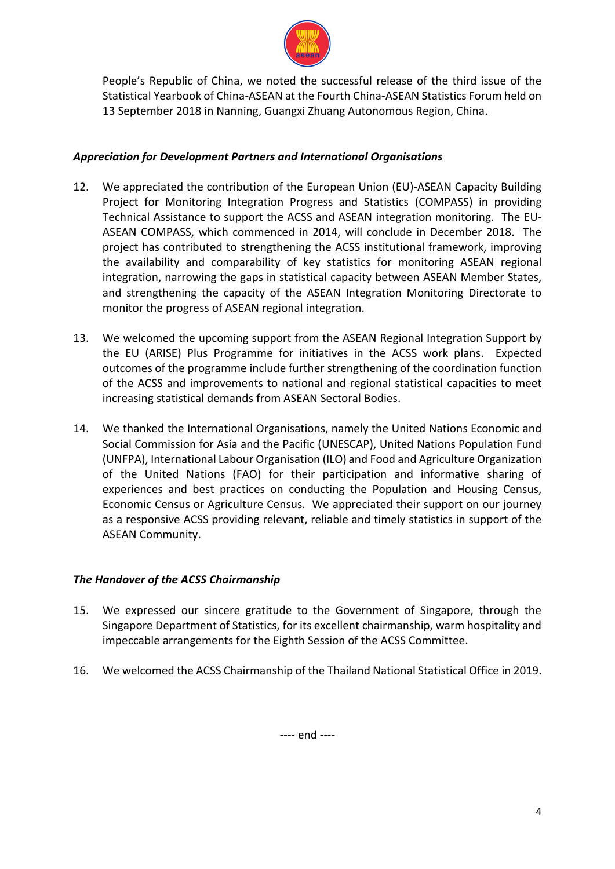

People's Republic of China, we noted the successful release of the third issue of the Statistical Yearbook of China-ASEAN at the Fourth China-ASEAN Statistics Forum held on 13 September 2018 in Nanning, Guangxi Zhuang Autonomous Region, China.

## *Appreciation for Development Partners and International Organisations*

- 12. We appreciated the contribution of the European Union (EU)-ASEAN Capacity Building Project for Monitoring Integration Progress and Statistics (COMPASS) in providing Technical Assistance to support the ACSS and ASEAN integration monitoring. The EU-ASEAN COMPASS, which commenced in 2014, will conclude in December 2018. The project has contributed to strengthening the ACSS institutional framework, improving the availability and comparability of key statistics for monitoring ASEAN regional integration, narrowing the gaps in statistical capacity between ASEAN Member States, and strengthening the capacity of the ASEAN Integration Monitoring Directorate to monitor the progress of ASEAN regional integration.
- 13. We welcomed the upcoming support from the ASEAN Regional Integration Support by the EU (ARISE) Plus Programme for initiatives in the ACSS work plans. Expected outcomes of the programme include further strengthening of the coordination function of the ACSS and improvements to national and regional statistical capacities to meet increasing statistical demands from ASEAN Sectoral Bodies.
- 14. We thanked the International Organisations, namely the United Nations Economic and Social Commission for Asia and the Pacific (UNESCAP), United Nations Population Fund (UNFPA), International Labour Organisation (ILO) and Food and Agriculture Organization of the United Nations (FAO) for their participation and informative sharing of experiences and best practices on conducting the Population and Housing Census, Economic Census or Agriculture Census. We appreciated their support on our journey as a responsive ACSS providing relevant, reliable and timely statistics in support of the ASEAN Community.

### *The Handover of the ACSS Chairmanship*

- 15. We expressed our sincere gratitude to the Government of Singapore, through the Singapore Department of Statistics, for its excellent chairmanship, warm hospitality and impeccable arrangements for the Eighth Session of the ACSS Committee.
- 16. We welcomed the ACSS Chairmanship of the Thailand National Statistical Office in 2019.